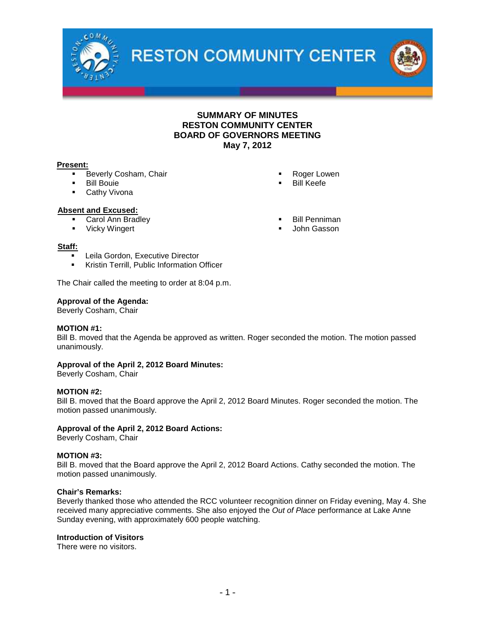

**RESTON COMMUNITY CENTER** 



## **Present:**

- Beverly Cosham, Chair
- Bill Bouie
- **Cathy Vivona**

## **Absent and Excused:**

- Carol Ann Bradley
- **•** Vicky Wingert
- 

## **Staff:**

- Leila Gordon, Executive Director
- **Kristin Terrill, Public Information Officer**

The Chair called the meeting to order at 8:04 p.m.

## **Approval of the Agenda:**

Beverly Cosham, Chair

## **MOTION #1:**

Bill B. moved that the Agenda be approved as written. Roger seconded the motion. The motion passed unanimously.

## **Approval of the April 2, 2012 Board Minutes:**

Beverly Cosham, Chair

## **MOTION #2:**

Bill B. moved that the Board approve the April 2, 2012 Board Minutes. Roger seconded the motion. The motion passed unanimously.

## **Approval of the April 2, 2012 Board Actions:**

Beverly Cosham, Chair

## **MOTION #3:**

Bill B. moved that the Board approve the April 2, 2012 Board Actions. Cathy seconded the motion. The motion passed unanimously.

#### **Chair's Remarks:**

Beverly thanked those who attended the RCC volunteer recognition dinner on Friday evening, May 4. She received many appreciative comments. She also enjoyed the *Out of Place* performance at Lake Anne Sunday evening, with approximately 600 people watching.

#### **Introduction of Visitors**

There were no visitors.

- Roger Lowen
- Bill Keefe
- 
- Bill Penniman
- John Gasson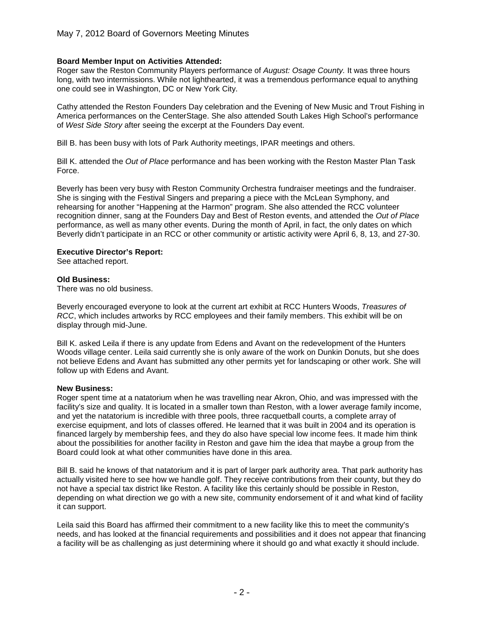## **Board Member Input on Activities Attended:**

Roger saw the Reston Community Players performance of *August: Osage County.* It was three hours long, with two intermissions. While not lighthearted, it was a tremendous performance equal to anything one could see in Washington, DC or New York City.

Cathy attended the Reston Founders Day celebration and the Evening of New Music and Trout Fishing in America performances on the CenterStage. She also attended South Lakes High School's performance of *West Side Story* after seeing the excerpt at the Founders Day event.

Bill B. has been busy with lots of Park Authority meetings, IPAR meetings and others.

Bill K. attended the *Out of Place* performance and has been working with the Reston Master Plan Task Force.

Beverly has been very busy with Reston Community Orchestra fundraiser meetings and the fundraiser. She is singing with the Festival Singers and preparing a piece with the McLean Symphony, and rehearsing for another "Happening at the Harmon" program. She also attended the RCC volunteer recognition dinner, sang at the Founders Day and Best of Reston events, and attended the *Out of Place* performance, as well as many other events. During the month of April, in fact, the only dates on which Beverly didn't participate in an RCC or other community or artistic activity were April 6, 8, 13, and 27-30.

## **Executive Director's Report:**

See attached report.

## **Old Business:**

There was no old business.

Beverly encouraged everyone to look at the current art exhibit at RCC Hunters Woods, *Treasures of RCC*, which includes artworks by RCC employees and their family members. This exhibit will be on display through mid-June.

Bill K. asked Leila if there is any update from Edens and Avant on the redevelopment of the Hunters Woods village center. Leila said currently she is only aware of the work on Dunkin Donuts, but she does not believe Edens and Avant has submitted any other permits yet for landscaping or other work. She will follow up with Edens and Avant.

## **New Business:**

Roger spent time at a natatorium when he was travelling near Akron, Ohio, and was impressed with the facility's size and quality. It is located in a smaller town than Reston, with a lower average family income, and yet the natatorium is incredible with three pools, three racquetball courts, a complete array of exercise equipment, and lots of classes offered. He learned that it was built in 2004 and its operation is financed largely by membership fees, and they do also have special low income fees. It made him think about the possibilities for another facility in Reston and gave him the idea that maybe a group from the Board could look at what other communities have done in this area.

Bill B. said he knows of that natatorium and it is part of larger park authority area. That park authority has actually visited here to see how we handle golf. They receive contributions from their county, but they do not have a special tax district like Reston. A facility like this certainly should be possible in Reston, depending on what direction we go with a new site, community endorsement of it and what kind of facility it can support.

Leila said this Board has affirmed their commitment to a new facility like this to meet the community's needs, and has looked at the financial requirements and possibilities and it does not appear that financing a facility will be as challenging as just determining where it should go and what exactly it should include.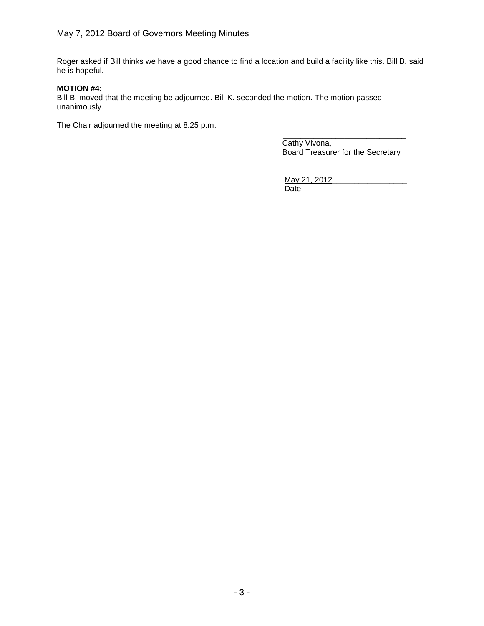Roger asked if Bill thinks we have a good chance to find a location and build a facility like this. Bill B. said he is hopeful.

## **MOTION #4:**

Bill B. moved that the meeting be adjourned. Bill K. seconded the motion. The motion passed unanimously.

The Chair adjourned the meeting at 8:25 p.m.

\_\_\_\_\_\_\_\_\_\_\_\_\_\_\_\_\_\_\_\_\_\_\_\_\_\_\_\_ Cathy Vivona, Board Treasurer for the Secretary

May 21, 2012 Date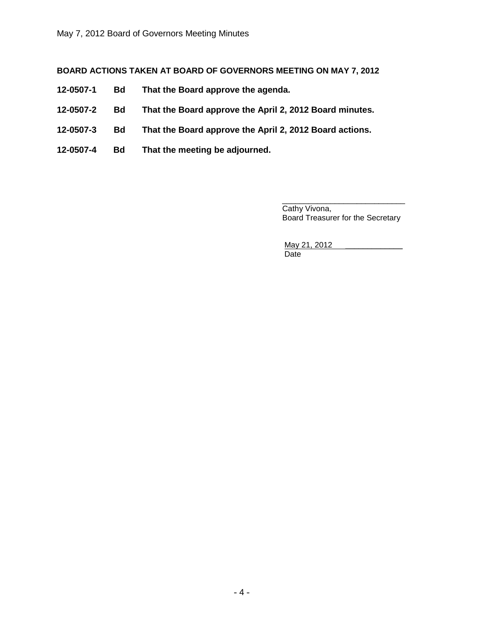## **BOARD ACTIONS TAKEN AT BOARD OF GOVERNORS MEETING ON MAY 7, 2012**

- **12-0507-1 Bd That the Board approve the agenda.**
- **12-0507-2 Bd That the Board approve the April 2, 2012 Board minutes.**
- **12-0507-3 Bd That the Board approve the April 2, 2012 Board actions.**
- **12-0507-4 Bd That the meeting be adjourned.**

\_\_\_\_\_\_\_\_\_\_\_\_\_\_\_\_\_\_\_\_\_\_\_\_\_\_\_\_ Cathy Vivona, Board Treasurer for the Secretary

May 21, 2012 **Date**